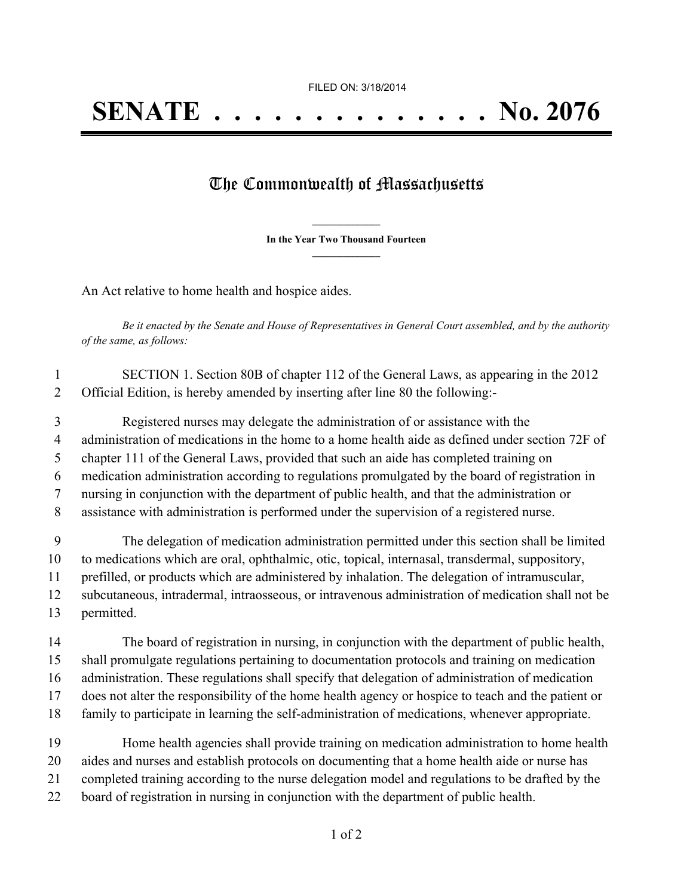## The Commonwealth of Massachusetts

**\_\_\_\_\_\_\_\_\_\_\_\_\_\_\_ In the Year Two Thousand Fourteen \_\_\_\_\_\_\_\_\_\_\_\_\_\_\_**

An Act relative to home health and hospice aides.

Be it enacted by the Senate and House of Representatives in General Court assembled, and by the authority *of the same, as follows:*

| SECTION 1. Section 80B of chapter 112 of the General Laws, as appearing in the 2012 |
|-------------------------------------------------------------------------------------|
| Official Edition, is hereby amended by inserting after line 80 the following:-      |

 Registered nurses may delegate the administration of or assistance with the administration of medications in the home to a home health aide as defined under section 72F of chapter 111 of the General Laws, provided that such an aide has completed training on medication administration according to regulations promulgated by the board of registration in nursing in conjunction with the department of public health, and that the administration or assistance with administration is performed under the supervision of a registered nurse.

 The delegation of medication administration permitted under this section shall be limited to medications which are oral, ophthalmic, otic, topical, internasal, transdermal, suppository, prefilled, or products which are administered by inhalation. The delegation of intramuscular, subcutaneous, intradermal, intraosseous, or intravenous administration of medication shall not be permitted.

 The board of registration in nursing, in conjunction with the department of public health, shall promulgate regulations pertaining to documentation protocols and training on medication administration. These regulations shall specify that delegation of administration of medication does not alter the responsibility of the home health agency or hospice to teach and the patient or family to participate in learning the self-administration of medications, whenever appropriate.

 Home health agencies shall provide training on medication administration to home health aides and nurses and establish protocols on documenting that a home health aide or nurse has completed training according to the nurse delegation model and regulations to be drafted by the board of registration in nursing in conjunction with the department of public health.